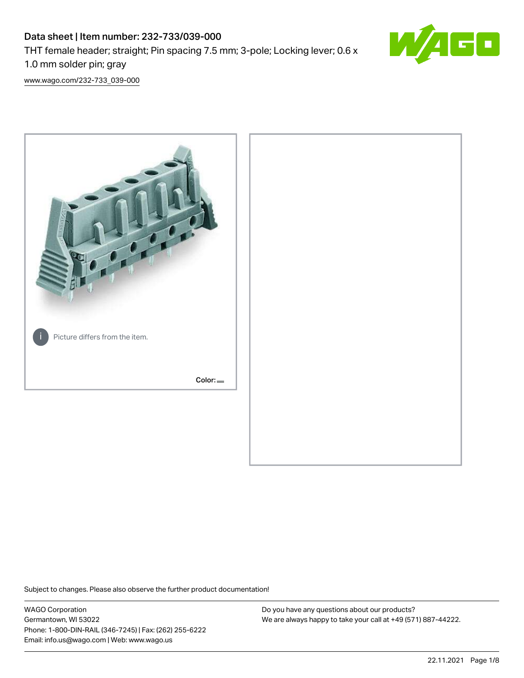# Data sheet | Item number: 232-733/039-000 THT female header; straight; Pin spacing 7.5 mm; 3-pole; Locking lever; 0.6 x 1.0 mm solder pin; gray



[www.wago.com/232-733\\_039-000](http://www.wago.com/232-733_039-000)



Subject to changes. Please also observe the further product documentation!

WAGO Corporation Germantown, WI 53022 Phone: 1-800-DIN-RAIL (346-7245) | Fax: (262) 255-6222 Email: info.us@wago.com | Web: www.wago.us

Do you have any questions about our products? We are always happy to take your call at +49 (571) 887-44222.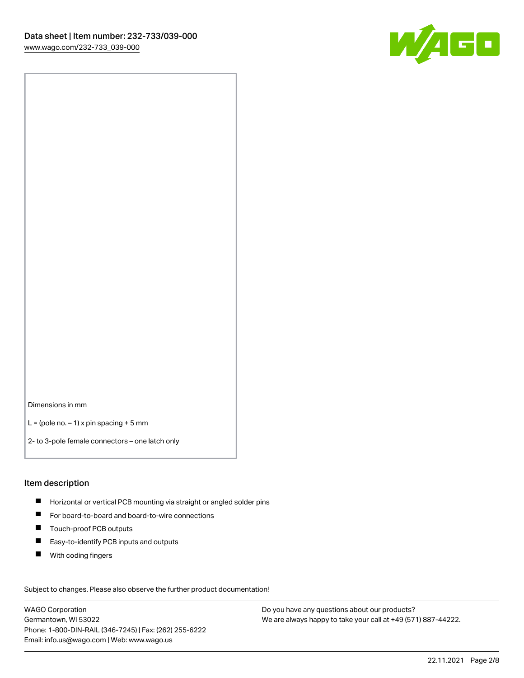

Dimensions in mm

 $L =$  (pole no.  $-1$ ) x pin spacing + 5 mm

2- to 3-pole female connectors – one latch only

#### Item description

- **H** Horizontal or vertical PCB mounting via straight or angled solder pins
- For board-to-board and board-to-wire connections
- Touch-proof PCB outputs  $\blacksquare$
- $\blacksquare$ Easy-to-identify PCB inputs and outputs
- $\blacksquare$ With coding fingers

Subject to changes. Please also observe the further product documentation! Data

WAGO Corporation Germantown, WI 53022 Phone: 1-800-DIN-RAIL (346-7245) | Fax: (262) 255-6222 Email: info.us@wago.com | Web: www.wago.us

Do you have any questions about our products? We are always happy to take your call at +49 (571) 887-44222.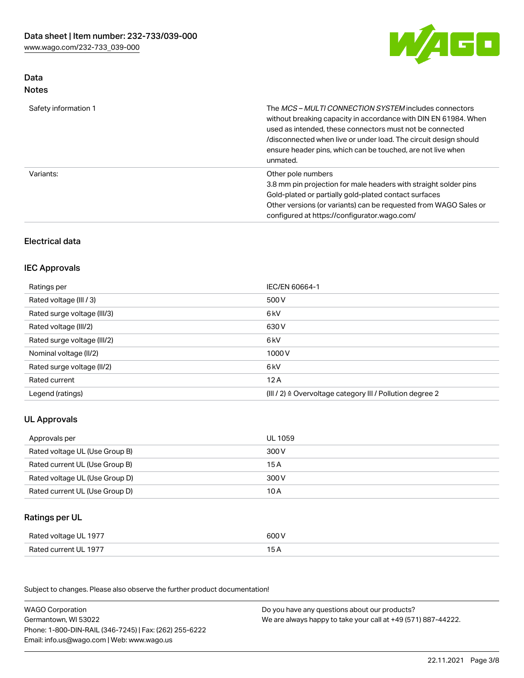

# Data Notes

| Safety information 1 | The <i>MCS – MULTI CONNECTION SYSTEM</i> includes connectors<br>without breaking capacity in accordance with DIN EN 61984. When<br>used as intended, these connectors must not be connected<br>/disconnected when live or under load. The circuit design should<br>ensure header pins, which can be touched, are not live when<br>unmated. |
|----------------------|--------------------------------------------------------------------------------------------------------------------------------------------------------------------------------------------------------------------------------------------------------------------------------------------------------------------------------------------|
| Variants:            | Other pole numbers<br>3.8 mm pin projection for male headers with straight solder pins<br>Gold-plated or partially gold-plated contact surfaces<br>Other versions (or variants) can be requested from WAGO Sales or<br>configured at https://configurator.wago.com/                                                                        |

# Electrical data

# IEC Approvals

| Ratings per                 | IEC/EN 60664-1                                                        |
|-----------------------------|-----------------------------------------------------------------------|
| Rated voltage (III / 3)     | 500 V                                                                 |
| Rated surge voltage (III/3) | 6 kV                                                                  |
| Rated voltage (III/2)       | 630 V                                                                 |
| Rated surge voltage (III/2) | 6 kV                                                                  |
| Nominal voltage (II/2)      | 1000 V                                                                |
| Rated surge voltage (II/2)  | 6 kV                                                                  |
| Rated current               | 12A                                                                   |
| Legend (ratings)            | $(III / 2)$ $\triangle$ Overvoltage category III / Pollution degree 2 |

# UL Approvals

| Approvals per                  | UL 1059 |
|--------------------------------|---------|
| Rated voltage UL (Use Group B) | 300 V   |
| Rated current UL (Use Group B) | 15 A    |
| Rated voltage UL (Use Group D) | 300 V   |
| Rated current UL (Use Group D) | 10 A    |

# Ratings per UL

| Rated voltage UL 1977 | 600 V |
|-----------------------|-------|
| Rated current UL 1977 |       |

Subject to changes. Please also observe the further product documentation!

| <b>WAGO Corporation</b>                                | Do you have any questions about our products?                 |
|--------------------------------------------------------|---------------------------------------------------------------|
| Germantown, WI 53022                                   | We are always happy to take your call at +49 (571) 887-44222. |
| Phone: 1-800-DIN-RAIL (346-7245)   Fax: (262) 255-6222 |                                                               |
| Email: info.us@wago.com   Web: www.wago.us             |                                                               |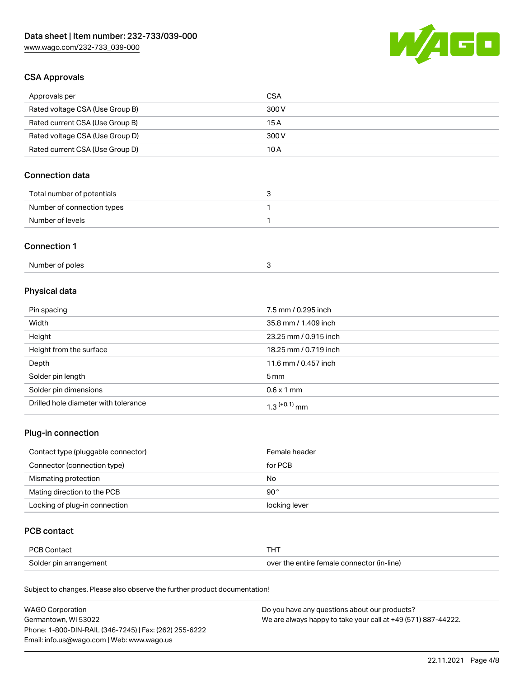

# CSA Approvals

| Approvals per                   | CSA   |
|---------------------------------|-------|
| Rated voltage CSA (Use Group B) | 300 V |
| Rated current CSA (Use Group B) | 15 A  |
| Rated voltage CSA (Use Group D) | 300 V |
| Rated current CSA (Use Group D) | 10 A  |

# Connection data

| Total number of potentials |  |
|----------------------------|--|
| Number of connection types |  |
| Number of levels           |  |

#### Connection 1

| Number of poles |  |
|-----------------|--|
|-----------------|--|

# Physical data

| Pin spacing                          | 7.5 mm / 0.295 inch   |
|--------------------------------------|-----------------------|
| Width                                | 35.8 mm / 1.409 inch  |
| Height                               | 23.25 mm / 0.915 inch |
| Height from the surface              | 18.25 mm / 0.719 inch |
| Depth                                | 11.6 mm / 0.457 inch  |
| Solder pin length                    | $5 \,\mathrm{mm}$     |
| Solder pin dimensions                | $0.6 \times 1$ mm     |
| Drilled hole diameter with tolerance | $1.3$ $(+0.1)$ mm     |

# Plug-in connection

| Contact type (pluggable connector) | Female header |
|------------------------------------|---------------|
| Connector (connection type)        | for PCB       |
| Mismating protection               | No            |
| Mating direction to the PCB        | 90°           |
| Locking of plug-in connection      | locking lever |

# PCB contact

| PCB Contact            |                                            |
|------------------------|--------------------------------------------|
| Solder pin arrangement | over the entire female connector (in-line) |

Subject to changes. Please also observe the further product documentation!

| <b>WAGO Corporation</b>                                | Do you have any questions about our products?                 |
|--------------------------------------------------------|---------------------------------------------------------------|
| Germantown, WI 53022                                   | We are always happy to take your call at +49 (571) 887-44222. |
| Phone: 1-800-DIN-RAIL (346-7245)   Fax: (262) 255-6222 |                                                               |
| Email: info.us@wago.com   Web: www.wago.us             |                                                               |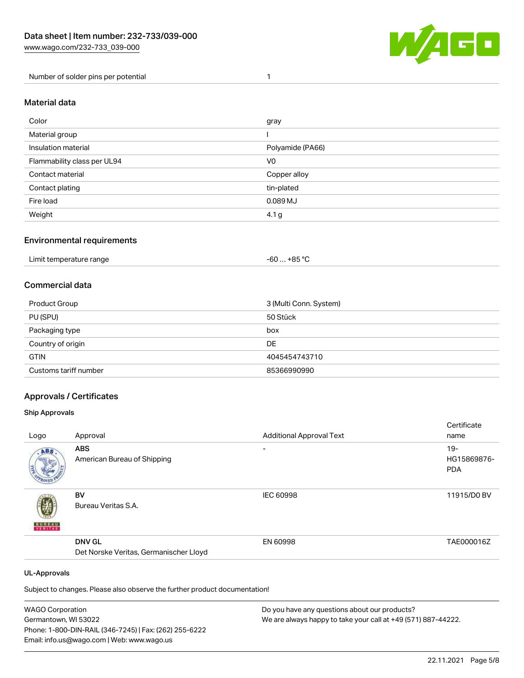

Number of solder pins per potential 1

### Material data

| Color                       | gray             |
|-----------------------------|------------------|
| Material group              |                  |
| Insulation material         | Polyamide (PA66) |
| Flammability class per UL94 | V0               |
| Contact material            | Copper alloy     |
| Contact plating             | tin-plated       |
| Fire load                   | 0.089 MJ         |
| Weight                      | 4.1 g            |

### Environmental requirements

| Limit temperature range<br>. | . +85 °C<br>-60 |  |
|------------------------------|-----------------|--|
|------------------------------|-----------------|--|

# Commercial data

| Product Group         | 3 (Multi Conn. System) |
|-----------------------|------------------------|
| PU (SPU)              | 50 Stück               |
| Packaging type        | box                    |
| Country of origin     | DE                     |
| <b>GTIN</b>           | 4045454743710          |
| Customs tariff number | 85366990990            |

# Approvals / Certificates

#### Ship Approvals

|                          |                                        |                                 | Certificate |
|--------------------------|----------------------------------------|---------------------------------|-------------|
| Logo                     | Approval                               | <b>Additional Approval Text</b> | name        |
| ABS.                     | <b>ABS</b>                             | ۰                               | $19 -$      |
|                          | American Bureau of Shipping            |                                 | HG15869876- |
|                          |                                        |                                 | <b>PDA</b>  |
|                          |                                        |                                 |             |
|                          | BV                                     | <b>IEC 60998</b>                | 11915/D0 BV |
|                          | Bureau Veritas S.A.                    |                                 |             |
| <b>BUREAU</b><br>VERITAS |                                        |                                 |             |
|                          | <b>DNV GL</b>                          | EN 60998                        | TAE000016Z  |
|                          | Det Norske Veritas, Germanischer Lloyd |                                 |             |
|                          |                                        |                                 |             |
| <b>UL-Approvals</b>      |                                        |                                 |             |

Subject to changes. Please also observe the further product documentation!

| <b>WAGO Corporation</b>                                | Do you have any questions about our products?                 |
|--------------------------------------------------------|---------------------------------------------------------------|
| Germantown, WI 53022                                   | We are always happy to take your call at +49 (571) 887-44222. |
| Phone: 1-800-DIN-RAIL (346-7245)   Fax: (262) 255-6222 |                                                               |
| Email: info.us@wago.com   Web: www.wago.us             |                                                               |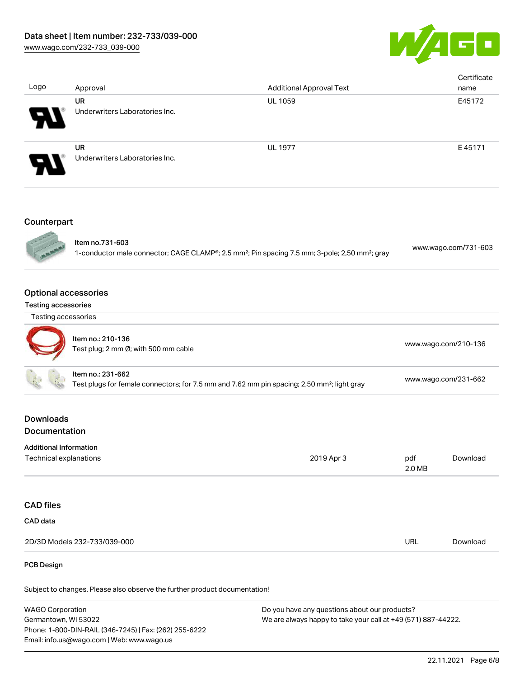

| Logo                                                                      | Approval                                                                                                                     | <b>Additional Approval Text</b>                                                                                        |                      | Certificate<br>name  |
|---------------------------------------------------------------------------|------------------------------------------------------------------------------------------------------------------------------|------------------------------------------------------------------------------------------------------------------------|----------------------|----------------------|
|                                                                           | <b>UR</b><br>Underwriters Laboratories Inc.                                                                                  | UL 1059                                                                                                                |                      | E45172               |
|                                                                           | <b>UR</b><br>Underwriters Laboratories Inc.                                                                                  | <b>UL 1977</b>                                                                                                         |                      | E45171               |
| Counterpart                                                               |                                                                                                                              |                                                                                                                        |                      |                      |
|                                                                           | Item no.731-603                                                                                                              | 1-conductor male connector; CAGE CLAMP®; 2.5 mm <sup>2</sup> ; Pin spacing 7.5 mm; 3-pole; 2,50 mm <sup>2</sup> ; gray |                      | www.wago.com/731-603 |
| <b>Optional accessories</b><br>Testing accessories<br>Testing accessories |                                                                                                                              |                                                                                                                        |                      |                      |
|                                                                           | Item no.: 210-136<br>Test plug; 2 mm Ø; with 500 mm cable                                                                    |                                                                                                                        |                      | www.wago.com/210-136 |
|                                                                           | Item no.: 231-662<br>Test plugs for female connectors; for 7.5 mm and 7.62 mm pin spacing; 2,50 mm <sup>2</sup> ; light gray |                                                                                                                        | www.wago.com/231-662 |                      |
| <b>Downloads</b><br>Documentation                                         |                                                                                                                              |                                                                                                                        |                      |                      |
| <b>Additional Information</b><br>Technical explanations                   |                                                                                                                              | 2019 Apr 3                                                                                                             | pdf<br>2.0 MB        | Download             |
| <b>CAD files</b>                                                          |                                                                                                                              |                                                                                                                        |                      |                      |
| CAD data                                                                  |                                                                                                                              |                                                                                                                        |                      |                      |
|                                                                           | 2D/3D Models 232-733/039-000                                                                                                 |                                                                                                                        | URL                  | Download             |

#### PCB Design

Subject to changes. Please also observe the further product documentation!

WAGO Corporation Germantown, WI 53022 Phone: 1-800-DIN-RAIL (346-7245) | Fax: (262) 255-6222 Email: info.us@wago.com | Web: www.wago.us Do you have any questions about our products? We are always happy to take your call at +49 (571) 887-44222.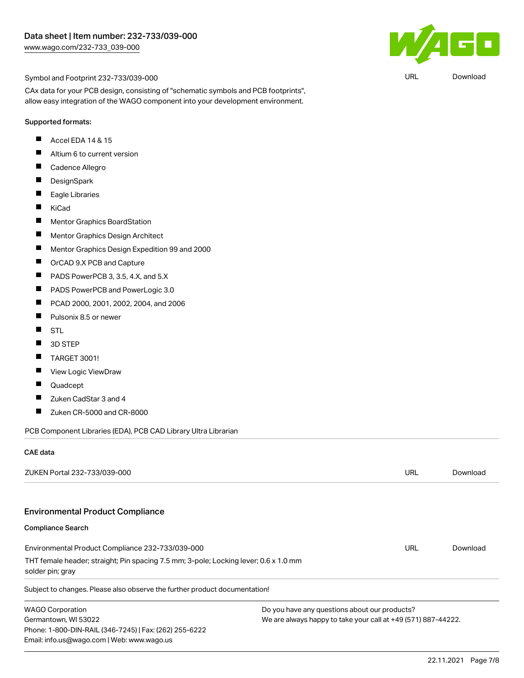

URL [Download](https://www.wago.com/global/d/UltraLibrarian_URLS_232-733_039-000)

#### Symbol and Footprint 232-733/039-000

CAx data for your PCB design, consisting of "schematic symbols and PCB footprints", allow easy integration of the WAGO component into your development environment.

#### Supported formats:

- П Accel EDA 14 & 15
- $\blacksquare$ Altium 6 to current version
- $\blacksquare$ Cadence Allegro
- $\blacksquare$ **DesignSpark**
- $\blacksquare$ Eagle Libraries
- $\blacksquare$ KiCad
- $\blacksquare$ Mentor Graphics BoardStation
- $\blacksquare$ Mentor Graphics Design Architect
- $\blacksquare$ Mentor Graphics Design Expedition 99 and 2000
- $\blacksquare$ OrCAD 9.X PCB and Capture
- $\blacksquare$ PADS PowerPCB 3, 3.5, 4.X, and 5.X
- $\blacksquare$ PADS PowerPCB and PowerLogic 3.0
- $\blacksquare$ PCAD 2000, 2001, 2002, 2004, and 2006
- $\blacksquare$ Pulsonix 8.5 or newer
- $\blacksquare$ STL
- $\blacksquare$ 3D STEP
- $\blacksquare$ TARGET 3001!
- $\blacksquare$ View Logic ViewDraw
- $\blacksquare$ Quadcept
- $\blacksquare$ Zuken CadStar 3 and 4
- $\blacksquare$ Zuken CR-5000 and CR-8000

PCB Component Libraries (EDA), PCB CAD Library Ultra Librarian

#### CAE data

| ZUKEN Portal 232-733/039-000                                                                             |                                                               | URL | Download |
|----------------------------------------------------------------------------------------------------------|---------------------------------------------------------------|-----|----------|
| <b>Environmental Product Compliance</b>                                                                  |                                                               |     |          |
| <b>Compliance Search</b>                                                                                 |                                                               |     |          |
| Environmental Product Compliance 232-733/039-000                                                         |                                                               | URL | Download |
| THT female header; straight; Pin spacing 7.5 mm; 3-pole; Locking lever; 0.6 x 1.0 mm<br>solder pin; gray |                                                               |     |          |
| Subject to changes. Please also observe the further product documentation!                               |                                                               |     |          |
| <b>WAGO Corporation</b>                                                                                  | Do you have any questions about our products?                 |     |          |
| Germantown, WI 53022<br>Phone: 1-800-DIN-RAIL (346-7245)   Fax: (262) 255-6222                           | We are always happy to take your call at +49 (571) 887-44222. |     |          |
| Email: info.us@wago.com   Web: www.wago.us                                                               |                                                               |     |          |